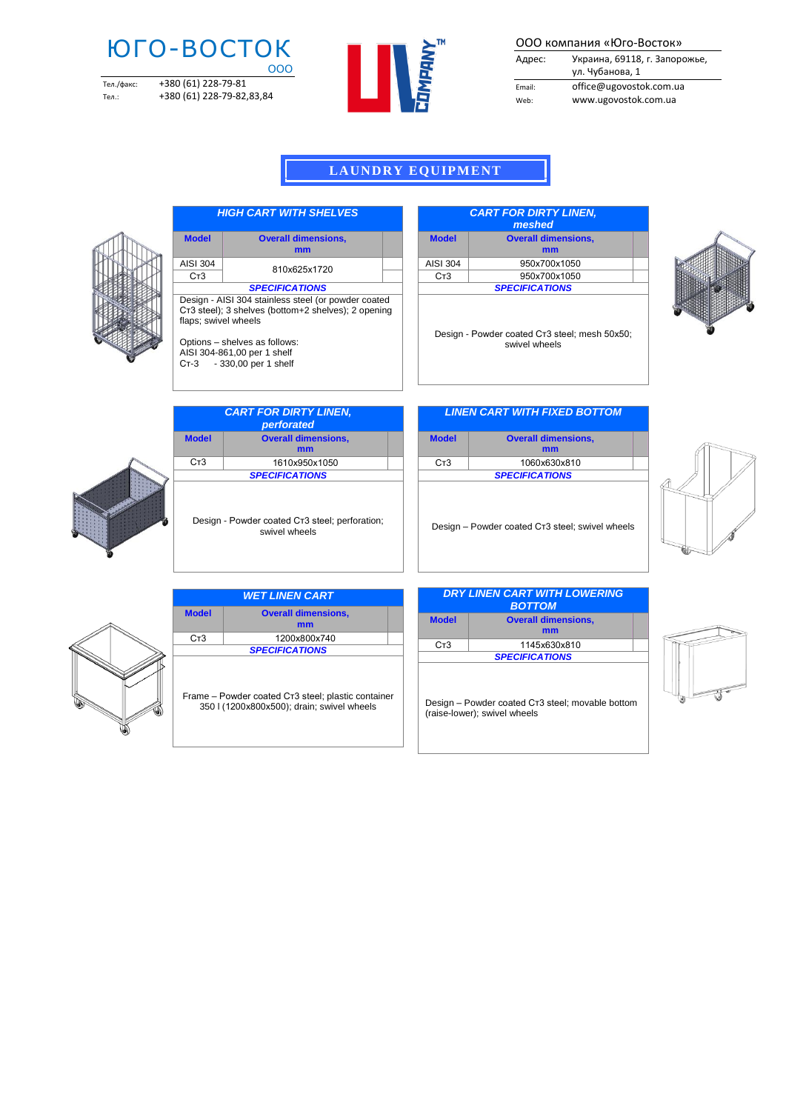

Тел./факс: +380 (61) 228-79-81 Тел.: +380 (61) 228-79-82,83,84



ООО компания «Юго-Восток»

| Адрес: | Украина, 69118, г. Запорожье,<br>ул. Чубанова, 1 |
|--------|--------------------------------------------------|
| Email: | office@ugovostok.com.ua                          |
| Web:   | www.ugovostok.com.ua                             |

## **LAUNDRY EQUIPMENT**



| <b>Model</b>                                                                                                                       | <b>Overall dimensions,</b><br>mm |  |  |
|------------------------------------------------------------------------------------------------------------------------------------|----------------------------------|--|--|
| AISI 304                                                                                                                           | 810x625x1720                     |  |  |
| C <sub>T</sub> 3                                                                                                                   |                                  |  |  |
|                                                                                                                                    | <b>SPECIFICATIONS</b>            |  |  |
| Design - AISI 304 stainless steel (or powder coated<br>CT3 steel); 3 shelves (bottom+2 shelves); 2 opening<br>flaps; swivel wheels |                                  |  |  |

*HIGH CART WITH SHELVES* 

Options – shelves as follows: AISI 304-861,00 per 1 shelf Ст-3 - 330,00 per 1 shelf

| <b>CART FOR DIRTY LINEN,</b><br>meshed |                                  |  |  |
|----------------------------------------|----------------------------------|--|--|
| <b>Model</b>                           | <b>Overall dimensions,</b><br>mm |  |  |
| AISI 304                               | 950x700x1050                     |  |  |
| C <sub>T</sub> 3                       | 950x700x1050                     |  |  |
|                                        | <b>SPECIFICATIONS</b>            |  |  |
|                                        |                                  |  |  |

Design - Powder coated Ст3 steel; mesh 50х50; swivel wheels





|                  | <b>CART FOR DIRTY LINEN,</b><br>perforated |  |
|------------------|--------------------------------------------|--|
| <b>Model</b>     | <b>Overall dimensions,</b><br>mm           |  |
| C <sub>T</sub> 3 | 1610x950x1050                              |  |
|                  | <b>SPECIFICATIONS</b>                      |  |
|                  |                                            |  |

Design - Powder coated Ст3 steel; perforation; swivel wheels

| <b>Model</b>          | <b>Overall dimensions.</b> |  |
|-----------------------|----------------------------|--|
|                       | mm                         |  |
| C <sub>T</sub> 3      | 1060x630x810               |  |
| <b>SPECIFICATIONS</b> |                            |  |

Design – Powder coated Ст3 steel; swivel wheels





| <b>WET LINEN CART</b> |                                  |  |  |
|-----------------------|----------------------------------|--|--|
| <b>Model</b>          | <b>Overall dimensions,</b><br>mm |  |  |
| C <sub>T</sub> 3      | 1200x800x740                     |  |  |
|                       | <b>SPECIFICATIONS</b>            |  |  |
|                       |                                  |  |  |
|                       |                                  |  |  |
|                       |                                  |  |  |

Frame – Powder coated Ст3 steel; plastic container 350 l (1200х800х500); drain; swivel wheels

| <b>DRY LINEN CART WITH LOWERING</b><br><b>BOTTOM</b> |                                  |  |
|------------------------------------------------------|----------------------------------|--|
| <b>Model</b>                                         | <b>Overall dimensions.</b><br>mm |  |
| C <sub>T</sub> 3                                     | 1145x630x810                     |  |
|                                                      | <b>SPECIFICATIONS</b>            |  |
|                                                      |                                  |  |

Design – Powder coated Ст3 steel; movable bottom (raise-lower); swivel wheels